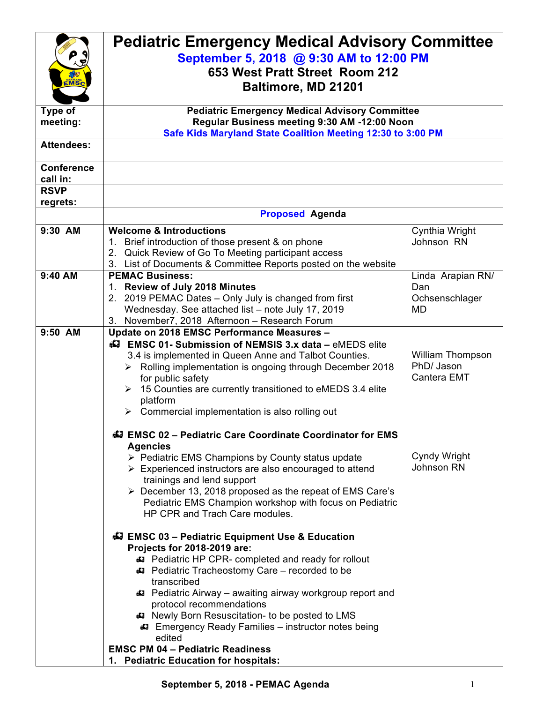| <b>MS</b><br>Type of<br>meeting:<br><b>Attendees:</b><br><b>Conference</b> | <b>Pediatric Emergency Medical Advisory Committee</b><br>September 5, 2018 @ 9:30 AM to 12:00 PM<br>653 West Pratt Street Room 212<br>Baltimore, MD 21201<br><b>Pediatric Emergency Medical Advisory Committee</b><br>Regular Business meeting 9:30 AM -12:00 Noon<br>Safe Kids Maryland State Coalition Meeting 12:30 to 3:00 PM                                                                                                                                                                                     |                                                         |  |
|----------------------------------------------------------------------------|-----------------------------------------------------------------------------------------------------------------------------------------------------------------------------------------------------------------------------------------------------------------------------------------------------------------------------------------------------------------------------------------------------------------------------------------------------------------------------------------------------------------------|---------------------------------------------------------|--|
| call in:<br><b>RSVP</b>                                                    |                                                                                                                                                                                                                                                                                                                                                                                                                                                                                                                       |                                                         |  |
| regrets:                                                                   |                                                                                                                                                                                                                                                                                                                                                                                                                                                                                                                       |                                                         |  |
|                                                                            | <b>Proposed Agenda</b>                                                                                                                                                                                                                                                                                                                                                                                                                                                                                                |                                                         |  |
| 9:30 AM                                                                    | <b>Welcome &amp; Introductions</b><br>1. Brief introduction of those present & on phone<br>2. Quick Review of Go To Meeting participant access<br>3. List of Documents & Committee Reports posted on the website                                                                                                                                                                                                                                                                                                      | Cynthia Wright<br>Johnson RN                            |  |
| 9:40 AM                                                                    | <b>PEMAC Business:</b><br>1. Review of July 2018 Minutes<br>2. 2019 PEMAC Dates - Only July is changed from first<br>Wednesday. See attached list - note July 17, 2019<br>3. November7, 2018 Afternoon - Research Forum                                                                                                                                                                                                                                                                                               | Linda Arapian RN/<br>Dan<br>Ochsenschlager<br><b>MD</b> |  |
| 9:50 AM                                                                    | Update on 2018 EMSC Performance Measures -<br>44 EMSC 01- Submission of NEMSIS 3.x data - eMEDS elite<br>3.4 is implemented in Queen Anne and Talbot Counties.<br>> Rolling implementation is ongoing through December 2018<br>for public safety<br>$\triangleright$ 15 Counties are currently transitioned to eMEDS 3.4 elite<br>platform<br>Commercial implementation is also rolling out<br>➤<br><b>44 EMSC 02 - Pediatric Care Coordinate Coordinator for EMS</b>                                                 | William Thompson<br>PhD/ Jason<br>Cantera EMT           |  |
|                                                                            | <b>Agencies</b><br>$\triangleright$ Pediatric EMS Champions by County status update<br>$\triangleright$ Experienced instructors are also encouraged to attend<br>trainings and lend support<br>▶ December 13, 2018 proposed as the repeat of EMS Care's<br>Pediatric EMS Champion workshop with focus on Pediatric<br>HP CPR and Trach Care modules.                                                                                                                                                                  | Cyndy Wright<br>Johnson RN                              |  |
|                                                                            | 47 EMSC 03 - Pediatric Equipment Use & Education<br>Projects for 2018-2019 are:<br><b>43</b> Pediatric HP CPR- completed and ready for rollout<br>Pediatric Tracheostomy Care - recorded to be<br>transcribed<br>47 Pediatric Airway - awaiting airway workgroup report and<br>protocol recommendations<br>Newly Born Resuscitation- to be posted to LMS<br><b>43</b> Emergency Ready Families – instructor notes being<br>edited<br><b>EMSC PM 04 - Pediatric Readiness</b><br>1. Pediatric Education for hospitals: |                                                         |  |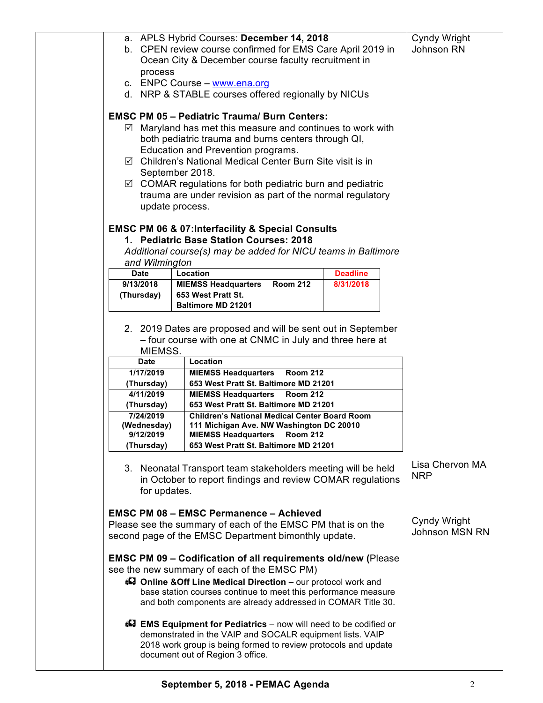| process                  | a. APLS Hybrid Courses: December 14, 2018<br>b. CPEN review course confirmed for EMS Care April 2019 in<br>Ocean City & December course faculty recruitment in                                                                                                                                                                                                                                                                                                    |                 | Cyndy Wright<br>Johnson RN     |
|--------------------------|-------------------------------------------------------------------------------------------------------------------------------------------------------------------------------------------------------------------------------------------------------------------------------------------------------------------------------------------------------------------------------------------------------------------------------------------------------------------|-----------------|--------------------------------|
|                          | c. ENPC Course - www.ena.org                                                                                                                                                                                                                                                                                                                                                                                                                                      |                 |                                |
|                          | d. NRP & STABLE courses offered regionally by NICUs                                                                                                                                                                                                                                                                                                                                                                                                               |                 |                                |
|                          | <b>EMSC PM 05 - Pediatric Trauma/ Burn Centers:</b><br>$\boxtimes$ Maryland has met this measure and continues to work with<br>both pediatric trauma and burns centers through QI,<br>Education and Prevention programs.<br>☑ Children's National Medical Center Burn Site visit is in<br>September 2018.<br>$\boxtimes$ COMAR regulations for both pediatric burn and pediatric<br>trauma are under revision as part of the normal regulatory<br>update process. |                 |                                |
|                          | <b>EMSC PM 06 &amp; 07:Interfacility &amp; Special Consults</b>                                                                                                                                                                                                                                                                                                                                                                                                   |                 |                                |
|                          | 1. Pediatric Base Station Courses: 2018                                                                                                                                                                                                                                                                                                                                                                                                                           |                 |                                |
| and Wilmington           | Additional course(s) may be added for NICU teams in Baltimore                                                                                                                                                                                                                                                                                                                                                                                                     |                 |                                |
| <b>Date</b>              | Location                                                                                                                                                                                                                                                                                                                                                                                                                                                          | <b>Deadline</b> |                                |
| 9/13/2018                | <b>Room 212</b><br><b>MIEMSS Headquarters</b>                                                                                                                                                                                                                                                                                                                                                                                                                     | 8/31/2018       |                                |
| (Thursday)               | 653 West Pratt St.                                                                                                                                                                                                                                                                                                                                                                                                                                                |                 |                                |
|                          | <b>Baltimore MD 21201</b>                                                                                                                                                                                                                                                                                                                                                                                                                                         |                 |                                |
| MIEMSS.<br><b>Date</b>   | 2. 2019 Dates are proposed and will be sent out in September<br>- four course with one at CNMC in July and three here at<br>Location                                                                                                                                                                                                                                                                                                                              |                 |                                |
| 1/17/2019                | <b>MIEMSS Headquarters</b><br><b>Room 212</b>                                                                                                                                                                                                                                                                                                                                                                                                                     |                 |                                |
| (Thursday)               | 653 West Pratt St. Baltimore MD 21201                                                                                                                                                                                                                                                                                                                                                                                                                             |                 |                                |
| 4/11/2019                | <b>MIEMSS Headquarters</b><br><b>Room 212</b>                                                                                                                                                                                                                                                                                                                                                                                                                     |                 |                                |
| (Thursday)               | 653 West Pratt St. Baltimore MD 21201                                                                                                                                                                                                                                                                                                                                                                                                                             |                 |                                |
| 7/24/2019                | <b>Children's National Medical Center Board Room</b>                                                                                                                                                                                                                                                                                                                                                                                                              |                 |                                |
| (Wednesday)<br>9/12/2019 | 111 Michigan Ave. NW Washington DC 20010<br><b>MIEMSS Headquarters</b><br><b>Room 212</b>                                                                                                                                                                                                                                                                                                                                                                         |                 |                                |
| (Thursday)               | 653 West Pratt St. Baltimore MD 21201                                                                                                                                                                                                                                                                                                                                                                                                                             |                 |                                |
| for updates.             | 3. Neonatal Transport team stakeholders meeting will be held<br>in October to report findings and review COMAR regulations                                                                                                                                                                                                                                                                                                                                        |                 | Lisa Chervon MA<br><b>NRP</b>  |
|                          | <b>EMSC PM 08 - EMSC Permanence - Achieved</b><br>Please see the summary of each of the EMSC PM that is on the<br>second page of the EMSC Department bimonthly update.                                                                                                                                                                                                                                                                                            |                 | Cyndy Wright<br>Johnson MSN RN |
|                          | <b>EMSC PM 09 - Codification of all requirements old/new (Please)</b><br>see the new summary of each of the EMSC PM)<br>47 Online & Off Line Medical Direction - our protocol work and<br>base station courses continue to meet this performance measure<br>and both components are already addressed in COMAR Title 30.                                                                                                                                          |                 |                                |
|                          | <b>EMS Equipment for Pediatrics</b> – now will need to be codified or<br>demonstrated in the VAIP and SOCALR equipment lists. VAIP<br>2018 work group is being formed to review protocols and update<br>document out of Region 3 office.                                                                                                                                                                                                                          |                 |                                |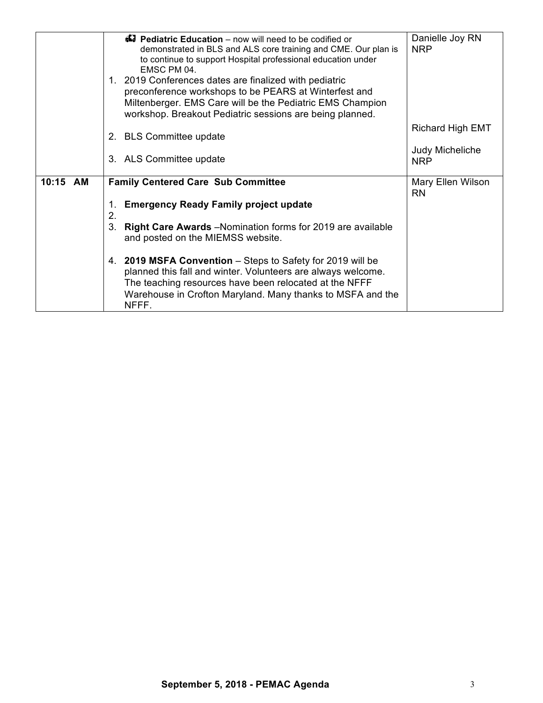|          | <b>47 Pediatric Education</b> – now will need to be codified or<br>demonstrated in BLS and ALS core training and CME. Our plan is<br>to continue to support Hospital professional education under<br>FMSC PM 04.<br>1. 2019 Conferences dates are finalized with pediatric<br>preconference workshops to be PEARS at Winterfest and<br>Miltenberger. EMS Care will be the Pediatric EMS Champion                                                                              | Danielle Joy RN<br><b>NRP</b>                                   |
|----------|-------------------------------------------------------------------------------------------------------------------------------------------------------------------------------------------------------------------------------------------------------------------------------------------------------------------------------------------------------------------------------------------------------------------------------------------------------------------------------|-----------------------------------------------------------------|
|          | workshop. Breakout Pediatric sessions are being planned.<br>2. BLS Committee update<br>3. ALS Committee update                                                                                                                                                                                                                                                                                                                                                                | <b>Richard High EMT</b><br><b>Judy Micheliche</b><br><b>NRP</b> |
| 10:15 AM | <b>Family Centered Care Sub Committee</b><br><b>Emergency Ready Family project update</b><br>1.<br>2.<br>Right Care Awards -Nomination forms for 2019 are available<br>3.<br>and posted on the MIEMSS website.<br>4. 2019 MSFA Convention - Steps to Safety for 2019 will be<br>planned this fall and winter. Volunteers are always welcome.<br>The teaching resources have been relocated at the NFFF<br>Warehouse in Crofton Maryland. Many thanks to MSFA and the<br>NFFF. | Mary Ellen Wilson<br><b>RN</b>                                  |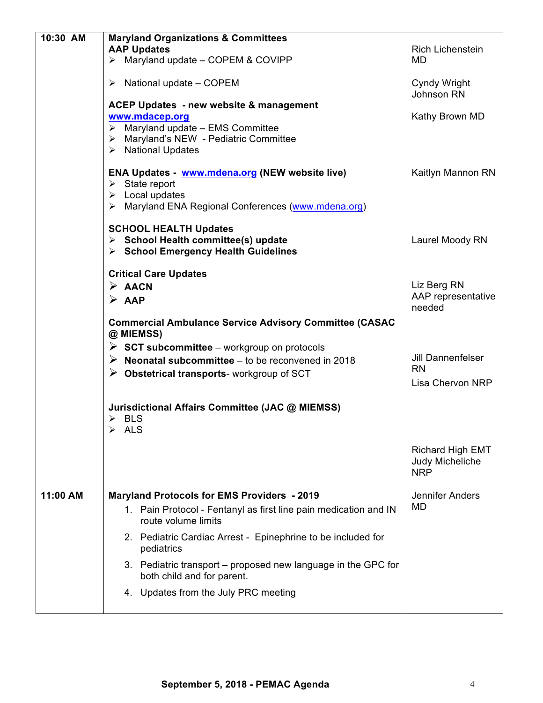| 10:30 AM | <b>Maryland Organizations &amp; Committees</b>                    |                         |
|----------|-------------------------------------------------------------------|-------------------------|
|          | <b>AAP Updates</b>                                                | Rich Lichenstein        |
|          | $\triangleright$ Maryland update - COPEM & COVIPP                 | MD                      |
|          |                                                                   |                         |
|          | $\triangleright$ National update – COPEM                          | Cyndy Wright            |
|          |                                                                   | Johnson RN              |
|          | <b>ACEP Updates - new website &amp; management</b>                |                         |
|          | www.mdacep.org                                                    | Kathy Brown MD          |
|          | $\triangleright$ Maryland update - EMS Committee                  |                         |
|          | > Maryland's NEW - Pediatric Committee                            |                         |
|          | $\triangleright$ National Updates                                 |                         |
|          |                                                                   |                         |
|          | ENA Updates - www.mdena.org (NEW website live)                    | Kaitlyn Mannon RN       |
|          | $\triangleright$ State report<br>$\triangleright$ Local updates   |                         |
|          | > Maryland ENA Regional Conferences (www.mdena.org)               |                         |
|          |                                                                   |                         |
|          | <b>SCHOOL HEALTH Updates</b>                                      |                         |
|          | $\triangleright$ School Health committee(s) update                | Laurel Moody RN         |
|          | $\triangleright$ School Emergency Health Guidelines               |                         |
|          |                                                                   |                         |
|          | <b>Critical Care Updates</b>                                      |                         |
|          | $\triangleright$ AACN                                             | Liz Berg RN             |
|          | $\triangleright$ AAP                                              | AAP representative      |
|          |                                                                   | needed                  |
|          | <b>Commercial Ambulance Service Advisory Committee (CASAC</b>     |                         |
|          | @ MIEMSS)                                                         |                         |
|          | $\triangleright$ SCT subcommittee – workgroup on protocols        |                         |
|          | $\triangleright$ Neonatal subcommittee – to be reconvened in 2018 | Jill Dannenfelser       |
|          |                                                                   | <b>RN</b>               |
|          | $\triangleright$ Obstetrical transports-workgroup of SCT          | Lisa Chervon NRP        |
|          |                                                                   |                         |
|          | Jurisdictional Affairs Committee (JAC @ MIEMSS)                   |                         |
|          | $\triangleright$ BLS                                              |                         |
|          | $\triangleright$ ALS                                              |                         |
|          |                                                                   |                         |
|          |                                                                   | <b>Richard High EMT</b> |
|          |                                                                   | Judy Micheliche         |
|          |                                                                   | <b>NRP</b>              |
|          |                                                                   |                         |
| 11:00 AM | <b>Maryland Protocols for EMS Providers - 2019</b>                | Jennifer Anders         |
|          | 1. Pain Protocol - Fentanyl as first line pain medication and IN  | <b>MD</b>               |
|          | route volume limits                                               |                         |
|          | 2. Pediatric Cardiac Arrest - Epinephrine to be included for      |                         |
|          | pediatrics                                                        |                         |
|          |                                                                   |                         |
|          | 3. Pediatric transport – proposed new language in the GPC for     |                         |
|          | both child and for parent.                                        |                         |
|          | 4. Updates from the July PRC meeting                              |                         |
|          |                                                                   |                         |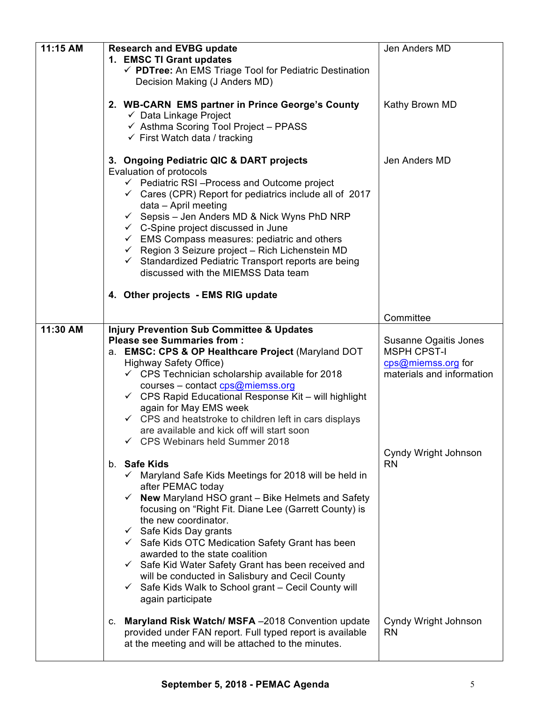| 11:15 AM | <b>Research and EVBG update</b><br>1. EMSC TI Grant updates<br>√ PDTree: An EMS Triage Tool for Pediatric Destination                                                                                                                                                                                                                                                                                                                                                                                                                                                                                                                                                                                                               | Jen Anders MD                                                                                  |
|----------|-------------------------------------------------------------------------------------------------------------------------------------------------------------------------------------------------------------------------------------------------------------------------------------------------------------------------------------------------------------------------------------------------------------------------------------------------------------------------------------------------------------------------------------------------------------------------------------------------------------------------------------------------------------------------------------------------------------------------------------|------------------------------------------------------------------------------------------------|
|          | Decision Making (J Anders MD)<br>2. WB-CARN EMS partner in Prince George's County<br>$\checkmark$ Data Linkage Project<br>$\checkmark$ Asthma Scoring Tool Project - PPASS<br>$\checkmark$ First Watch data / tracking                                                                                                                                                                                                                                                                                                                                                                                                                                                                                                              | Kathy Brown MD                                                                                 |
|          | 3. Ongoing Pediatric QIC & DART projects<br>Evaluation of protocols<br>$\checkmark$ Pediatric RSI-Process and Outcome project<br>$\checkmark$ Cares (CPR) Report for pediatrics include all of 2017<br>data - April meeting<br>$\checkmark$ Sepsis – Jen Anders MD & Nick Wyns PhD NRP<br>$\checkmark$ C-Spine project discussed in June<br>$\checkmark$ EMS Compass measures: pediatric and others<br>$\checkmark$ Region 3 Seizure project - Rich Lichenstein MD<br>$\checkmark$ Standardized Pediatric Transport reports are being<br>discussed with the MIEMSS Data team                                                                                                                                                        | Jen Anders MD                                                                                  |
|          | 4. Other projects - EMS RIG update                                                                                                                                                                                                                                                                                                                                                                                                                                                                                                                                                                                                                                                                                                  |                                                                                                |
|          |                                                                                                                                                                                                                                                                                                                                                                                                                                                                                                                                                                                                                                                                                                                                     | Committee                                                                                      |
| 11:30 AM | <b>Injury Prevention Sub Committee &amp; Updates</b><br><b>Please see Summaries from:</b><br>a. EMSC: CPS & OP Healthcare Project (Maryland DOT<br><b>Highway Safety Office)</b><br>$\checkmark$ CPS Technician scholarship available for 2018<br>courses – contact cps@miemss.org<br>$\checkmark$ CPS Rapid Educational Response Kit - will highlight<br>again for May EMS week<br>$\checkmark$ CPS and heatstroke to children left in cars displays<br>are available and kick off will start soon<br>← CPS Webinars held Summer 2018                                                                                                                                                                                              | Susanne Ogaitis Jones<br><b>MSPH CPST-I</b><br>cps@miemss.org for<br>materials and information |
|          | b. Safe Kids<br>$\checkmark$ Maryland Safe Kids Meetings for 2018 will be held in<br>after PEMAC today<br>New Maryland HSO grant - Bike Helmets and Safety<br>$\checkmark$<br>focusing on "Right Fit. Diane Lee (Garrett County) is<br>the new coordinator.<br>$\checkmark$ Safe Kids Day grants<br>$\checkmark$ Safe Kids OTC Medication Safety Grant has been<br>awarded to the state coalition<br>$\checkmark$ Safe Kid Water Safety Grant has been received and<br>will be conducted in Salisbury and Cecil County<br>$\checkmark$ Safe Kids Walk to School grant - Cecil County will<br>again participate<br>c. Maryland Risk Watch/ MSFA -2018 Convention update<br>provided under FAN report. Full typed report is available | Cyndy Wright Johnson<br><b>RN</b><br>Cyndy Wright Johnson<br><b>RN</b>                         |
|          | at the meeting and will be attached to the minutes.                                                                                                                                                                                                                                                                                                                                                                                                                                                                                                                                                                                                                                                                                 |                                                                                                |